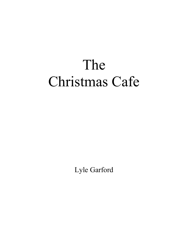## The Christmas Cafe

Lyle Garford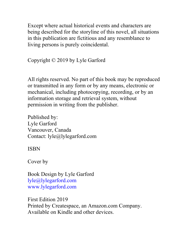Except where actual historical events and characters are being described for the storyline of this novel, all situations in this publication are fictitious and any resemblance to living persons is purely coincidental.

Copyright © 2019 by Lyle Garford

All rights reserved. No part of this book may be reproduced or transmitted in any form or by any means, electronic or mechanical, including photocopying, recording, or by an information storage and retrieval system, without permission in writing from the publisher.

Published by: Lyle Garford Vancouver, Canada Contact: lyle@lylegarford.com

ISBN

Cover by

Book Design by Lyle Garford lyle@lylegarford.com www.lylegarford.com

First Edition 2019 Printed by Createspace, an Amazon.com Company. Available on Kindle and other devices.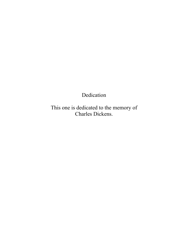Dedication

This one is dedicated to the memory of Charles Dickens.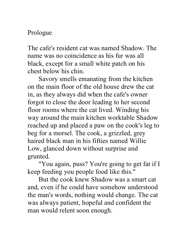## Prologue

The cafe's resident cat was named Shadow. The name was no coincidence as his fur was all black, except for a small white patch on his chest below his chin.

Savory smells emanating from the kitchen on the main floor of the old house drew the cat in, as they always did when the cafe's owner forgot to close the door leading to her second floor rooms where the cat lived. Winding his way around the main kitchen worktable Shadow reached up and placed a paw on the cook's leg to beg for a morsel. The cook, a grizzled, grey haired black man in his fifties named Willie Low, glanced down without surprise and grunted.

"You again, puss? You're going to get fat if I keep feeding you people food like this."

But the cook knew Shadow was a smart cat and, even if he could have somehow understood the man's words, nothing would change. The cat was always patient, hopeful and confident the man would relent soon enough.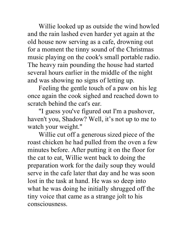Willie looked up as outside the wind howled and the rain lashed even harder yet again at the old house now serving as a cafe, drowning out for a moment the tinny sound of the Christmas music playing on the cook's small portable radio. The heavy rain pounding the house had started several hours earlier in the middle of the night and was showing no signs of letting up.

Feeling the gentle touch of a paw on his leg once again the cook sighed and reached down to scratch behind the cat's ear.

"I guess you've figured out I'm a pushover, haven't you, Shadow? Well, it's not up to me to watch your weight."

Willie cut off a generous sized piece of the roast chicken he had pulled from the oven a few minutes before. After putting it on the floor for the cat to eat, Willie went back to doing the preparation work for the daily soup they would serve in the cafe later that day and he was soon lost in the task at hand. He was so deep into what he was doing he initially shrugged off the tiny voice that came as a strange jolt to his consciousness.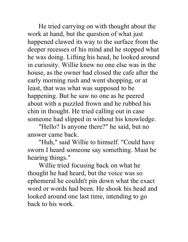He tried carrying on with thought about the work at hand, but the question of what just happened clawed its way to the surface from the deeper recesses of his mind and he stopped what he was doing. Lifting his head, he looked around in curiosity. Willie knew no one else was in the house, as the owner had closed the cafe after the early morning rush and went shopping, or at least, that was what was supposed to be happening. But he saw no one as he peered about with a puzzled frown and he rubbed his chin in thought. He tried calling out in case someone had slipped in without his knowledge.

"Hello? Is anyone there?" he said, but no answer came back.

"Huh," said Willie to himself. "Could have sworn I heard someone say something. Must be hearing things."

Willie tried focusing back on what he thought he had heard, but the voice was so ephemeral he couldn't pin down what the exact word or words had been. He shook his head and looked around one last time, intending to go back to his work.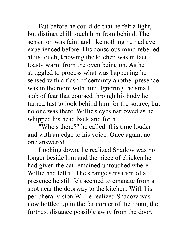But before he could do that he felt a light, but distinct chill touch him from behind. The sensation was faint and like nothing he had ever experienced before. His conscious mind rebelled at its touch, knowing the kitchen was in fact toasty warm from the oven being on. As he struggled to process what was happening he sensed with a flash of certainty another presence was in the room with him. Ignoring the small stab of fear that coursed through his body he turned fast to look behind him for the source, but no one was there. Willie's eyes narrowed as he whipped his head back and forth.

"Who's there?" he called, this time louder and with an edge to his voice. Once again, no one answered.

Looking down, he realized Shadow was no longer beside him and the piece of chicken he had given the cat remained untouched where Willie had left it. The strange sensation of a presence he still felt seemed to emanate from a spot near the doorway to the kitchen. With his peripheral vision Willie realized Shadow was now bottled up in the far corner of the room, the furthest distance possible away from the door.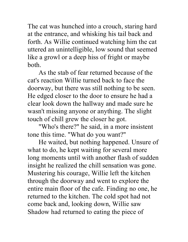The cat was hunched into a crouch, staring hard at the entrance, and whisking his tail back and forth. As Willie continued watching him the cat uttered an unintelligible, low sound that seemed like a growl or a deep hiss of fright or maybe both.

As the stab of fear returned because of the cat's reaction Willie turned back to face the doorway, but there was still nothing to be seen. He edged closer to the door to ensure he had a clear look down the hallway and made sure he wasn't missing anyone or anything. The slight touch of chill grew the closer he got.

"Who's there?" he said, in a more insistent tone this time. "What do you want?"

He waited, but nothing happened. Unsure of what to do, he kept waiting for several more long moments until with another flash of sudden insight he realized the chill sensation was gone. Mustering his courage, Willie left the kitchen through the doorway and went to explore the entire main floor of the cafe. Finding no one, he returned to the kitchen. The cold spot had not come back and, looking down, Willie saw Shadow had returned to eating the piece of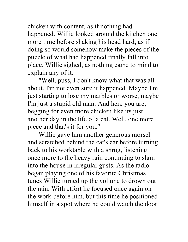chicken with content, as if nothing had happened. Willie looked around the kitchen one more time before shaking his head hard, as if doing so would somehow make the pieces of the puzzle of what had happened finally fall into place. Willie sighed, as nothing came to mind to explain any of it.

"Well, puss, I don't know what that was all about. I'm not even sure it happened. Maybe I'm just starting to lose my marbles or worse, maybe I'm just a stupid old man. And here you are, begging for even more chicken like its just another day in the life of a cat. Well, one more piece and that's it for you."

Willie gave him another generous morsel and scratched behind the cat's ear before turning back to his worktable with a shrug, listening once more to the heavy rain continuing to slam into the house in irregular gusts. As the radio began playing one of his favorite Christmas tunes Willie turned up the volume to drown out the rain. With effort he focused once again on the work before him, but this time he positioned himself in a spot where he could watch the door.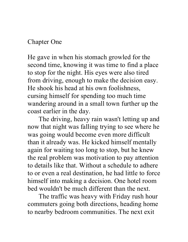## Chapter One

He gave in when his stomach growled for the second time, knowing it was time to find a place to stop for the night. His eyes were also tired from driving, enough to make the decision easy. He shook his head at his own foolishness, cursing himself for spending too much time wandering around in a small town further up the coast earlier in the day.

The driving, heavy rain wasn't letting up and now that night was falling trying to see where he was going would become even more difficult than it already was. He kicked himself mentally again for waiting too long to stop, but he knew the real problem was motivation to pay attention to details like that. Without a schedule to adhere to or even a real destination, he had little to force himself into making a decision. One hotel room bed wouldn't be much different than the next.

The traffic was heavy with Friday rush hour commuters going both directions, heading home to nearby bedroom communities. The next exit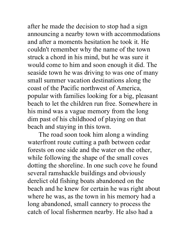after he made the decision to stop had a sign announcing a nearby town with accommodations and after a moments hesitation he took it. He couldn't remember why the name of the town struck a chord in his mind, but he was sure it would come to him and soon enough it did. The seaside town he was driving to was one of many small summer vacation destinations along the coast of the Pacific northwest of America, popular with families looking for a big, pleasant beach to let the children run free. Somewhere in his mind was a vague memory from the long dim past of his childhood of playing on that beach and staying in this town.

The road soon took him along a winding waterfront route cutting a path between cedar forests on one side and the water on the other, while following the shape of the small coves dotting the shoreline. In one such cove he found several ramshackle buildings and obviously derelict old fishing boats abandoned on the beach and he knew for certain he was right about where he was, as the town in his memory had a long abandoned, small cannery to process the catch of local fishermen nearby. He also had a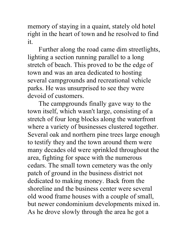memory of staying in a quaint, stately old hotel right in the heart of town and he resolved to find it.

Further along the road came dim streetlights, lighting a section running parallel to a long stretch of beach. This proved to be the edge of town and was an area dedicated to hosting several campgrounds and recreational vehicle parks. He was unsurprised to see they were devoid of customers.

The campgrounds finally gave way to the town itself, which wasn't large, consisting of a stretch of four long blocks along the waterfront where a variety of businesses clustered together. Several oak and northern pine trees large enough to testify they and the town around them were many decades old were sprinkled throughout the area, fighting for space with the numerous cedars. The small town cemetery was the only patch of ground in the business district not dedicated to making money. Back from the shoreline and the business center were several old wood frame houses with a couple of small, but newer condominium developments mixed in. As he drove slowly through the area he got a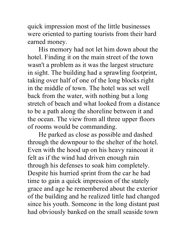quick impression most of the little businesses were oriented to parting tourists from their hard earned money.

His memory had not let him down about the hotel. Finding it on the main street of the town wasn't a problem as it was the largest structure in sight. The building had a sprawling footprint, taking over half of one of the long blocks right in the middle of town. The hotel was set well back from the water, with nothing but a long stretch of beach and what looked from a distance to be a path along the shoreline between it and the ocean. The view from all three upper floors of rooms would be commanding.

He parked as close as possible and dashed through the downpour to the shelter of the hotel. Even with the hood up on his heavy raincoat it felt as if the wind had driven enough rain through his defenses to soak him completely. Despite his hurried sprint from the car he had time to gain a quick impression of the stately grace and age he remembered about the exterior of the building and he realized little had changed since his youth. Someone in the long distant past had obviously banked on the small seaside town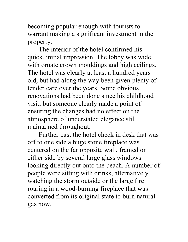becoming popular enough with tourists to warrant making a significant investment in the property.

The interior of the hotel confirmed his quick, initial impression. The lobby was wide, with ornate crown mouldings and high ceilings. The hotel was clearly at least a hundred years old, but had along the way been given plenty of tender care over the years. Some obvious renovations had been done since his childhood visit, but someone clearly made a point of ensuring the changes had no effect on the atmosphere of understated elegance still maintained throughout.

Further past the hotel check in desk that was off to one side a huge stone fireplace was centered on the far opposite wall, framed on either side by several large glass windows looking directly out onto the beach. A number of people were sitting with drinks, alternatively watching the storm outside or the large fire roaring in a wood-burning fireplace that was converted from its original state to burn natural gas now.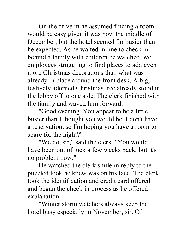On the drive in he assumed finding a room would be easy given it was now the middle of December, but the hotel seemed far busier than he expected. As he waited in line to check in behind a family with children he watched two employees struggling to find places to add even more Christmas decorations than what was already in place around the front desk. A big, festively adorned Christmas tree already stood in the lobby off to one side. The clerk finished with the family and waved him forward.

"Good evening. You appear to be a little busier than I thought you would be. I don't have a reservation, so I'm hoping you have a room to spare for the night?"

"We do, sir," said the clerk. "You would have been out of luck a few weeks back, but it's no problem now."

He watched the clerk smile in reply to the puzzled look he knew was on his face. The clerk took the identification and credit card offered and began the check in process as he offered explanation.

"Winter storm watchers always keep the hotel busy especially in November, sir. Of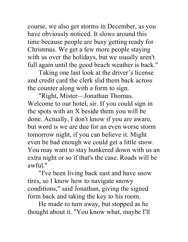course, we also get storms in December, as you have obviously noticed. It slows around this time because people are busy getting ready for Christmas. We get a few more people staying with us over the holidays, but we usually aren't full again until the good beach weather is back."

Taking one last look at the driver's license and credit card the clerk slid them back across the counter along with a form to sign.

"Right, Mister—Jonathan Thomas. Welcome to our hotel, sir. If you could sign in the spots with an X beside them you will be done. Actually, I don't know if you are aware, but word is we are due for an even worse storm tomorrow night, if you can believe it. Might even be bad enough we could get a little snow. You may want to stay hunkered down with us an extra night or so if that's the case. Roads will be awful."

"I've been living back east and have snow tires, so I know how to navigate snowy conditions," said Jonathan, giving the signed form back and taking the key to his room.

He made to turn away, but stopped as he thought about it. "You know what, maybe I'll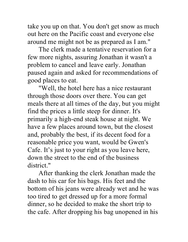take you up on that. You don't get snow as much out here on the Pacific coast and everyone else around me might not be as prepared as I am."

The clerk made a tentative reservation for a few more nights, assuring Jonathan it wasn't a problem to cancel and leave early. Jonathan paused again and asked for recommendations of good places to eat.

"Well, the hotel here has a nice restaurant through those doors over there. You can get meals there at all times of the day, but you might find the prices a little steep for dinner. It's primarily a high-end steak house at night. We have a few places around town, but the closest and, probably the best, if its decent food for a reasonable price you want, would be Gwen's Cafe. It's just to your right as you leave here, down the street to the end of the business district."

After thanking the clerk Jonathan made the dash to his car for his bags. His feet and the bottom of his jeans were already wet and he was too tired to get dressed up for a more formal dinner, so he decided to make the short trip to the cafe. After dropping his bag unopened in his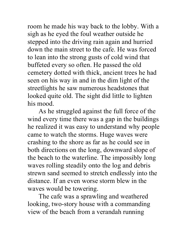room he made his way back to the lobby. With a sigh as he eyed the foul weather outside he stepped into the driving rain again and hurried down the main street to the cafe. He was forced to lean into the strong gusts of cold wind that buffeted every so often. He passed the old cemetery dotted with thick, ancient trees he had seen on his way in and in the dim light of the streetlights he saw numerous headstones that looked quite old. The sight did little to lighten his mood.

As he struggled against the full force of the wind every time there was a gap in the buildings he realized it was easy to understand why people came to watch the storms. Huge waves were crashing to the shore as far as he could see in both directions on the long, downward slope of the beach to the waterline. The impossibly long waves rolling steadily onto the log and debris strewn sand seemed to stretch endlessly into the distance. If an even worse storm blew in the waves would be towering.

The cafe was a sprawling and weathered looking, two-story house with a commanding view of the beach from a verandah running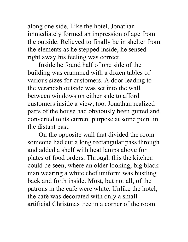along one side. Like the hotel, Jonathan immediately formed an impression of age from the outside. Relieved to finally be in shelter from the elements as he stepped inside, he sensed right away his feeling was correct.

Inside he found half of one side of the building was crammed with a dozen tables of various sizes for customers. A door leading to the verandah outside was set into the wall between windows on either side to afford customers inside a view, too. Jonathan realized parts of the house had obviously been gutted and converted to its current purpose at some point in the distant past.

On the opposite wall that divided the room someone had cut a long rectangular pass through and added a shelf with heat lamps above for plates of food orders. Through this the kitchen could be seen, where an older looking, big black man wearing a white chef uniform was bustling back and forth inside. Most, but not all, of the patrons in the cafe were white. Unlike the hotel, the cafe was decorated with only a small artificial Christmas tree in a corner of the room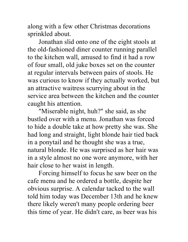along with a few other Christmas decorations sprinkled about.

Jonathan slid onto one of the eight stools at the old-fashioned diner counter running parallel to the kitchen wall, amused to find it had a row of four small, old juke boxes set on the counter at regular intervals between pairs of stools. He was curious to know if they actually worked, but an attractive waitress scurrying about in the service area between the kitchen and the counter caught his attention.

"Miserable night, huh?" she said, as she bustled over with a menu. Jonathan was forced to hide a double take at how pretty she was. She had long and straight, light blonde hair tied back in a ponytail and he thought she was a true, natural blonde. He was surprised as her hair was in a style almost no one wore anymore, with her hair close to her waist in length.

Forcing himself to focus he saw beer on the cafe menu and he ordered a bottle, despite her obvious surprise. A calendar tacked to the wall told him today was December 13th and he knew there likely weren't many people ordering beer this time of year. He didn't care, as beer was his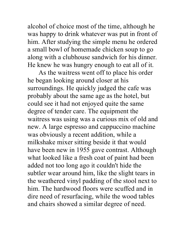alcohol of choice most of the time, although he was happy to drink whatever was put in front of him. After studying the simple menu he ordered a small bowl of homemade chicken soup to go along with a clubhouse sandwich for his dinner. He knew he was hungry enough to eat all of it.

As the waitress went off to place his order he began looking around closer at his surroundings. He quickly judged the cafe was probably about the same age as the hotel, but could see it had not enjoyed quite the same degree of tender care. The equipment the waitress was using was a curious mix of old and new. A large espresso and cappuccino machine was obviously a recent addition, while a milkshake mixer sitting beside it that would have been new in 1955 gave contrast. Although what looked like a fresh coat of paint had been added not too long ago it couldn't hide the subtler wear around him, like the slight tears in the weathered vinyl padding of the stool next to him. The hardwood floors were scuffed and in dire need of resurfacing, while the wood tables and chairs showed a similar degree of need.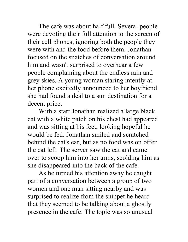The cafe was about half full. Several people were devoting their full attention to the screen of their cell phones, ignoring both the people they were with and the food before them. Jonathan focused on the snatches of conversation around him and wasn't surprised to overhear a few people complaining about the endless rain and grey skies. A young woman staring intently at her phone excitedly announced to her boyfriend she had found a deal to a sun destination for a decent price.

With a start Jonathan realized a large black cat with a white patch on his chest had appeared and was sitting at his feet, looking hopeful he would be fed. Jonathan smiled and scratched behind the cat's ear, but as no food was on offer the cat left. The server saw the cat and came over to scoop him into her arms, scolding him as she disappeared into the back of the cafe.

As he turned his attention away he caught part of a conversation between a group of two women and one man sitting nearby and was surprised to realize from the snippet he heard that they seemed to be talking about a ghostly presence in the cafe. The topic was so unusual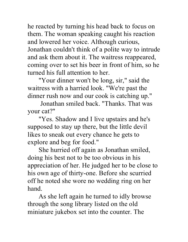he reacted by turning his head back to focus on them. The woman speaking caught his reaction and lowered her voice. Although curious, Jonathan couldn't think of a polite way to intrude and ask them about it. The waitress reappeared, coming over to set his beer in front of him, so he turned his full attention to her.

"Your dinner won't be long, sir," said the waitress with a harried look. "We're past the dinner rush now and our cook is catching up."

Jonathan smiled back. "Thanks. That was your cat?"

"Yes. Shadow and I live upstairs and he's supposed to stay up there, but the little devil likes to sneak out every chance he gets to explore and beg for food."

She hurried off again as Jonathan smiled, doing his best not to be too obvious in his appreciation of her. He judged her to be close to his own age of thirty-one. Before she scurried off he noted she wore no wedding ring on her hand.

As she left again he turned to idly browse through the song library listed on the old miniature jukebox set into the counter. The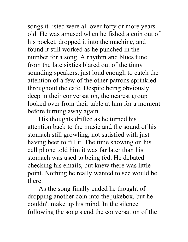songs it listed were all over forty or more years old. He was amused when he fished a coin out of his pocket, dropped it into the machine, and found it still worked as he punched in the number for a song. A rhythm and blues tune from the late sixties blared out of the tinny sounding speakers, just loud enough to catch the attention of a few of the other patrons sprinkled throughout the cafe. Despite being obviously deep in their conversation, the nearest group looked over from their table at him for a moment before turning away again.

His thoughts drifted as he turned his attention back to the music and the sound of his stomach still growling, not satisfied with just having beer to fill it. The time showing on his cell phone told him it was far later than his stomach was used to being fed. He debated checking his emails, but knew there was little point. Nothing he really wanted to see would be there.

As the song finally ended he thought of dropping another coin into the jukebox, but he couldn't make up his mind. In the silence following the song's end the conversation of the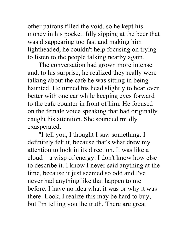other patrons filled the void, so he kept his money in his pocket. Idly sipping at the beer that was disappearing too fast and making him lightheaded, he couldn't help focusing on trying to listen to the people talking nearby again.

The conversation had grown more intense and, to his surprise, he realized they really were talking about the cafe he was sitting in being haunted. He turned his head slightly to hear even better with one ear while keeping eyes forward to the cafe counter in front of him. He focused on the female voice speaking that had originally caught his attention. She sounded mildly exasperated.

"I tell you, I thought I saw something. I definitely felt it, because that's what drew my attention to look in its direction. It was like a cloud—a wisp of energy. I don't know how else to describe it. I know I never said anything at the time, because it just seemed so odd and I've never had anything like that happen to me before. I have no idea what it was or why it was there. Look, I realize this may be hard to buy, but I'm telling you the truth. There are great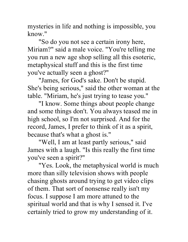mysteries in life and nothing is impossible, you know."

"So do you not see a certain irony here, Miriam?" said a male voice. "You're telling me you run a new age shop selling all this esoteric, metaphysical stuff and this is the first time you've actually seen a ghost?"

"James, for God's sake. Don't be stupid. She's being serious," said the other woman at the table. "Miriam, he's just trying to tease you."

"I know. Some things about people change and some things don't. You always teased me in high school, so I'm not surprised. And for the record, James, I prefer to think of it as a spirit, because that's what a ghost is."

"Well, I am at least partly serious," said James with a laugh. "Is this really the first time you've seen a spirit?"

"Yes. Look, the metaphysical world is much more than silly television shows with people chasing ghosts around trying to get video clips of them. That sort of nonsense really isn't my focus. I suppose I am more attuned to the spiritual world and that is why I sensed it. I've certainly tried to grow my understanding of it.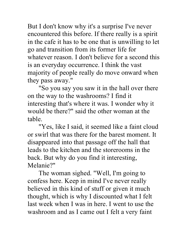But I don't know why it's a surprise I've never encountered this before. If there really is a spirit in the cafe it has to be one that is unwilling to let go and transition from its former life for whatever reason. I don't believe for a second this is an everyday occurrence. I think the vast majority of people really do move onward when they pass away."

"So you say you saw it in the hall over there on the way to the washrooms? I find it interesting that's where it was. I wonder why it would be there?" said the other woman at the table.

"Yes, like I said, it seemed like a faint cloud or swirl that was there for the barest moment. It disappeared into that passage off the hall that leads to the kitchen and the storerooms in the back. But why do you find it interesting, Melanie?"

The woman sighed. "Well, I'm going to confess here. Keep in mind I've never really believed in this kind of stuff or given it much thought, which is why I discounted what I felt last week when I was in here. I went to use the washroom and as I came out I felt a very faint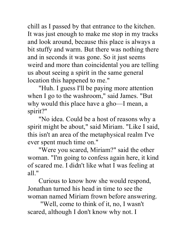chill as I passed by that entrance to the kitchen. It was just enough to make me stop in my tracks and look around, because this place is always a bit stuffy and warm. But there was nothing there and in seconds it was gone. So it just seems weird and more than coincidental you are telling us about seeing a spirit in the same general location this happened to me."

"Huh. I guess I'll be paying more attention when I go to the washroom," said James. "But why would this place have a gho—I mean, a spirit?"

"No idea. Could be a host of reasons why a spirit might be about," said Miriam. "Like I said, this isn't an area of the metaphysical realm I've ever spent much time on."

"Were you scared, Miriam?" said the other woman. "I'm going to confess again here, it kind of scared me. I didn't like what I was feeling at all."

Curious to know how she would respond, Jonathan turned his head in time to see the woman named Miriam frown before answering.

"Well, come to think of it, no, I wasn't scared, although I don't know why not. I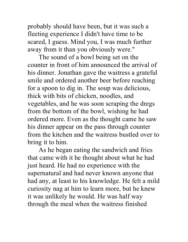probably should have been, but it was such a fleeting experience I didn't have time to be scared, I guess. Mind you, I was much further away from it than you obviously were."

The sound of a bowl being set on the counter in front of him announced the arrival of his dinner. Jonathan gave the waitress a grateful smile and ordered another beer before reaching for a spoon to dig in. The soup was delicious, thick with bits of chicken, noodles, and vegetables, and he was soon scraping the dregs from the bottom of the bowl, wishing he had ordered more. Even as the thought came he saw his dinner appear on the pass through counter from the kitchen and the waitress bustled over to bring it to him.

As he began eating the sandwich and fries that came with it he thought about what he had just heard. He had no experience with the supernatural and had never known anyone that had any, at least to his knowledge. He felt a mild curiosity nag at him to learn more, but he knew it was unlikely he would. He was half way through the meal when the waitress finished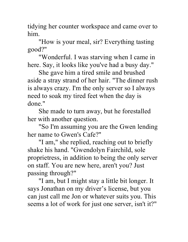tidying her counter workspace and came over to him.

"How is your meal, sir? Everything tasting good?"

"Wonderful. I was starving when I came in here. Say, it looks like you've had a busy day."

She gave him a tired smile and brushed aside a stray strand of her hair. "The dinner rush is always crazy. I'm the only server so I always need to soak my tired feet when the day is done."

She made to turn away, but he forestalled her with another question.

"So I'm assuming you are the Gwen lending her name to Gwen's Cafe?"

"I am," she replied, reaching out to briefly shake his hand. "Gwendolyn Fairchild, sole proprietress, in addition to being the only server on staff. You are new here, aren't you? Just passing through?"

"I am, but I might stay a little bit longer. It says Jonathan on my driver's license, but you can just call me Jon or whatever suits you. This seems a lot of work for just one server, isn't it?"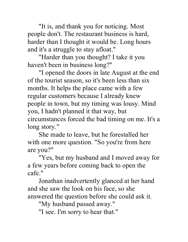"It is, and thank you for noticing. Most people don't. The restaurant business is hard, harder than I thought it would be. Long hours and it's a struggle to stay afloat."

"Harder than you thought? I take it you haven't been in business long?"

"I opened the doors in late August at the end of the tourist season, so it's been less than six months. It helps the place came with a few regular customers because I already knew people in town, but my timing was lousy. Mind you, I hadn't planned it that way, but circumstances forced the bad timing on me. It's a long story."

She made to leave, but he forestalled her with one more question. "So you're from here are you?"

"Yes, but my husband and I moved away for a few years before coming back to open the cafe."

Jonathan inadvertently glanced at her hand and she saw the look on his face, so she answered the question before she could ask it.

"My husband passed away."

"I see. I'm sorry to hear that."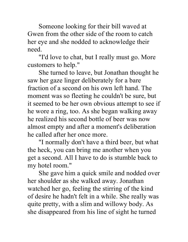Someone looking for their bill waved at Gwen from the other side of the room to catch her eye and she nodded to acknowledge their need.

"I'd love to chat, but I really must go. More customers to help."

She turned to leave, but Jonathan thought he saw her gaze linger deliberately for a bare fraction of a second on his own left hand. The moment was so fleeting he couldn't be sure, but it seemed to be her own obvious attempt to see if he wore a ring, too. As she began walking away he realized his second bottle of beer was now almost empty and after a moment's deliberation he called after her once more.

"I normally don't have a third beer, but what the heck, you can bring me another when you get a second. All I have to do is stumble back to my hotel room."

She gave him a quick smile and nodded over her shoulder as she walked away. Jonathan watched her go, feeling the stirring of the kind of desire he hadn't felt in a while. She really was quite pretty, with a slim and willowy body. As she disappeared from his line of sight he turned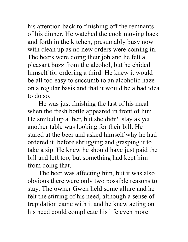his attention back to finishing off the remnants of his dinner. He watched the cook moving back and forth in the kitchen, presumably busy now with clean up as no new orders were coming in. The beers were doing their job and he felt a pleasant buzz from the alcohol, but he chided himself for ordering a third. He knew it would be all too easy to succumb to an alcoholic haze on a regular basis and that it would be a bad idea to do so.

He was just finishing the last of his meal when the fresh bottle appeared in front of him. He smiled up at her, but she didn't stay as yet another table was looking for their bill. He stared at the beer and asked himself why he had ordered it, before shrugging and grasping it to take a sip. He knew he should have just paid the bill and left too, but something had kept him from doing that.

The beer was affecting him, but it was also obvious there were only two possible reasons to stay. The owner Gwen held some allure and he felt the stirring of his need, although a sense of trepidation came with it and he knew acting on his need could complicate his life even more.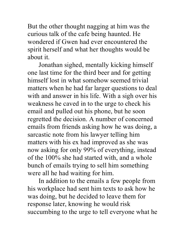But the other thought nagging at him was the curious talk of the cafe being haunted. He wondered if Gwen had ever encountered the spirit herself and what her thoughts would be about it.

Jonathan sighed, mentally kicking himself one last time for the third beer and for getting himself lost in what somehow seemed trivial matters when he had far larger questions to deal with and answer in his life. With a sigh over his weakness he caved in to the urge to check his email and pulled out his phone, but he soon regretted the decision. A number of concerned emails from friends asking how he was doing, a sarcastic note from his lawyer telling him matters with his ex had improved as she was now asking for only 99% of everything, instead of the 100% she had started with, and a whole bunch of emails trying to sell him something were all he had waiting for him.

In addition to the emails a few people from his workplace had sent him texts to ask how he was doing, but he decided to leave them for response later, knowing he would risk succumbing to the urge to tell everyone what he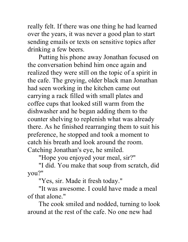really felt. If there was one thing he had learned over the years, it was never a good plan to start sending emails or texts on sensitive topics after drinking a few beers.

Putting his phone away Jonathan focused on the conversation behind him once again and realized they were still on the topic of a spirit in the cafe. The greying, older black man Jonathan had seen working in the kitchen came out carrying a rack filled with small plates and coffee cups that looked still warm from the dishwasher and he began adding them to the counter shelving to replenish what was already there. As he finished rearranging them to suit his preference, he stopped and took a moment to catch his breath and look around the room. Catching Jonathan's eye, he smiled.

"Hope you enjoyed your meal, sir?"

"I did. You make that soup from scratch, did you?"

"Yes, sir. Made it fresh today."

"It was awesome. I could have made a meal of that alone."

The cook smiled and nodded, turning to look around at the rest of the cafe. No one new had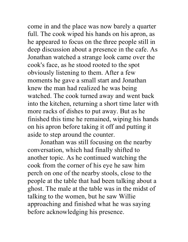come in and the place was now barely a quarter full. The cook wiped his hands on his apron, as he appeared to focus on the three people still in deep discussion about a presence in the cafe. As Jonathan watched a strange look came over the cook's face, as he stood rooted to the spot obviously listening to them. After a few moments he gave a small start and Jonathan knew the man had realized he was being watched. The cook turned away and went back into the kitchen, returning a short time later with more racks of dishes to put away. But as he finished this time he remained, wiping his hands on his apron before taking it off and putting it aside to step around the counter.

Jonathan was still focusing on the nearby conversation, which had finally shifted to another topic. As he continued watching the cook from the corner of his eye he saw him perch on one of the nearby stools, close to the people at the table that had been talking about a ghost. The male at the table was in the midst of talking to the women, but he saw Willie approaching and finished what he was saying before acknowledging his presence.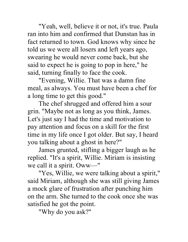"Yeah, well, believe it or not, it's true. Paula ran into him and confirmed that Dunstan has in fact returned to town. God knows why since he told us we were all losers and left years ago, swearing he would never come back, but she said to expect he is going to pop in here," he said, turning finally to face the cook.

"Evening, Willie. That was a damn fine meal, as always. You must have been a chef for a long time to get this good."

The chef shrugged and offered him a sour grin. "Maybe not as long as you think, James. Let's just say I had the time and motivation to pay attention and focus on a skill for the first time in my life once I got older. But say, I heard you talking about a ghost in here?"

James grunted, stifling a bigger laugh as he replied. "It's a spirit, Willie. Miriam is insisting we call it a spirit. Oww—"

"Yes, Willie, we were talking about a spirit," said Miriam, although she was still giving James a mock glare of frustration after punching him on the arm. She turned to the cook once she was satisfied he got the point.

"Why do you ask?"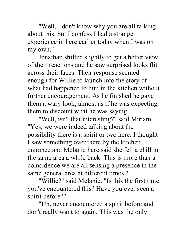"Well, I don't know why you are all talking about this, but I confess I had a strange experience in here earlier today when I was on my own."

Jonathan shifted slightly to get a better view of their reactions and he saw surprised looks flit across their faces. Their response seemed enough for Willie to launch into the story of what had happened to him in the kitchen without further encouragement. As he finished he gave them a wary look, almost as if he was expecting them to discount what he was saying.

"Well, isn't that interesting?" said Miriam. "Yes, we were indeed talking about the possibility there is a spirit or two here. I thought I saw something over there by the kitchen entrance and Melanie here said she felt a chill in the same area a while back. This is more than a coincidence we are all sensing a presence in the same general area at different times."

"Willie?" said Melanie. "Is this the first time you've encountered this? Have you ever seen a spirit before?"

"Uh, never encountered a spirit before and don't really want to again. This was the only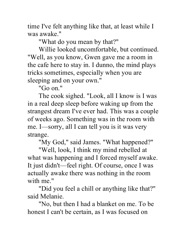time I've felt anything like that, at least while I was awake."

"What do you mean by that?"

Willie looked uncomfortable, but continued. "Well, as you know, Gwen gave me a room in the cafe here to stay in. I dunno, the mind plays tricks sometimes, especially when you are sleeping and on your own."

"Go on."

The cook sighed. "Look, all I know is I was in a real deep sleep before waking up from the strangest dream I've ever had. This was a couple of weeks ago. Something was in the room with me. I—sorry, all I can tell you is it was very strange.

"My God," said James. "What happened?"

"Well, look, I think my mind rebelled at what was happening and I forced myself awake. It just didn't—feel right. Of course, once I was actually awake there was nothing in the room with me."

"Did you feel a chill or anything like that?" said Melanie.

"No, but then I had a blanket on me. To be honest I can't be certain, as I was focused on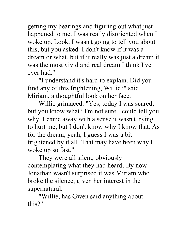getting my bearings and figuring out what just happened to me. I was really disoriented when I woke up. Look, I wasn't going to tell you about this, but you asked. I don't know if it was a dream or what, but if it really was just a dream it was the most vivid and real dream I think I've ever had."

"I understand it's hard to explain. Did you find any of this frightening, Willie?" said Miriam, a thoughtful look on her face.

Willie grimaced. "Yes, today I was scared, but you know what? I'm not sure I could tell you why. I came away with a sense it wasn't trying to hurt me, but I don't know why I know that. As for the dream, yeah, I guess I was a bit frightened by it all. That may have been why I woke up so fast."

They were all silent, obviously contemplating what they had heard. By now Jonathan wasn't surprised it was Miriam who broke the silence, given her interest in the supernatural.

"Willie, has Gwen said anything about this?"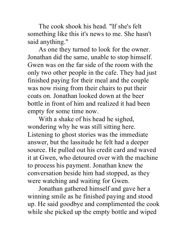The cook shook his head. "If she's felt something like this it's news to me. She hasn't said anything."

As one they turned to look for the owner. Jonathan did the same, unable to stop himself. Gwen was on the far side of the room with the only two other people in the cafe. They had just finished paying for their meal and the couple was now rising from their chairs to put their coats on. Jonathan looked down at the beer bottle in front of him and realized it had been empty for some time now.

With a shake of his head he sighed, wondering why he was still sitting here. Listening to ghost stories was the immediate answer, but the lassitude he felt had a deeper source. He pulled out his credit card and waved it at Gwen, who detoured over with the machine to process his payment. Jonathan knew the conversation beside him had stopped, as they were watching and waiting for Gwen.

Jonathan gathered himself and gave her a winning smile as he finished paying and stood up. He said goodbye and complimented the cook while she picked up the empty bottle and wiped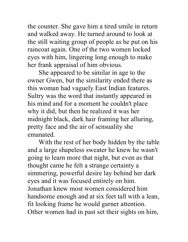the counter. She gave him a tired smile in return and walked away. He turned around to look at the still waiting group of people as he put on his raincoat again. One of the two women locked eyes with him, lingering long enough to make her frank appraisal of him obvious.

She appeared to be similar in age to the owner Gwen, but the similarity ended there as this woman had vaguely East Indian features. Sultry was the word that instantly appeared in his mind and for a moment he couldn't place why it did, but then he realized it was her midnight black, dark hair framing her alluring, pretty face and the air of sensuality she emanated.

With the rest of her body hidden by the table and a large shapeless sweater he knew he wasn't going to learn more that night, but even as that thought came he felt a strange certainty a simmering, powerful desire lay behind her dark eyes and it was focused entirely on him. Jonathan knew most women considered him handsome enough and at six feet tall with a lean, fit looking frame he would garner attention. Other women had in past set their sights on him,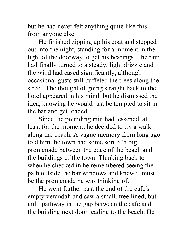but he had never felt anything quite like this from anyone else.

He finished zipping up his coat and stepped out into the night, standing for a moment in the light of the doorway to get his bearings. The rain had finally turned to a steady, light drizzle and the wind had eased significantly, although occasional gusts still buffeted the trees along the street. The thought of going straight back to the hotel appeared in his mind, but he dismissed the idea, knowing he would just be tempted to sit in the bar and get loaded.

Since the pounding rain had lessened, at least for the moment, he decided to try a walk along the beach. A vague memory from long ago told him the town had some sort of a big promenade between the edge of the beach and the buildings of the town. Thinking back to when he checked in he remembered seeing the path outside the bar windows and knew it must be the promenade he was thinking of.

He went further past the end of the cafe's empty verandah and saw a small, tree lined, but unlit pathway in the gap between the cafe and the building next door leading to the beach. He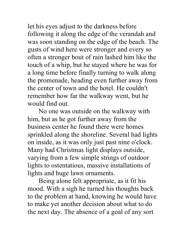let his eyes adjust to the darkness before following it along the edge of the verandah and was soon standing on the edge of the beach. The gusts of wind here were stronger and every so often a stronger bout of rain lashed him like the touch of a whip, but he stayed where he was for a long time before finally turning to walk along the promenade, heading even further away from the center of town and the hotel. He couldn't remember how far the walkway went, but he would find out.

No one was outside on the walkway with him, but as he got further away from the business center he found there were homes sprinkled along the shoreline. Several had lights on inside, as it was only just past nine o'clock. Many had Christmas light displays outside, varying from a few simple strings of outdoor lights to ostentatious, massive installations of lights and huge lawn ornaments.

Being alone felt appropriate, as it fit his mood. With a sigh he turned his thoughts back to the problem at hand, knowing he would have to make yet another decision about what to do the next day. The absence of a goal of any sort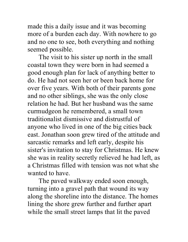made this a daily issue and it was becoming more of a burden each day. With nowhere to go and no one to see, both everything and nothing seemed possible.

The visit to his sister up north in the small coastal town they were born in had seemed a good enough plan for lack of anything better to do. He had not seen her or been back home for over five years. With both of their parents gone and no other siblings, she was the only close relation he had. But her husband was the same curmudgeon he remembered, a small town traditionalist dismissive and distrustful of anyone who lived in one of the big cities back east. Jonathan soon grew tired of the attitude and sarcastic remarks and left early, despite his sister's invitation to stay for Christmas. He knew she was in reality secretly relieved he had left, as a Christmas filled with tension was not what she wanted to have.

The paved walkway ended soon enough, turning into a gravel path that wound its way along the shoreline into the distance. The homes lining the shore grew further and further apart while the small street lamps that lit the paved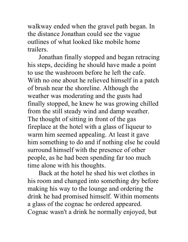walkway ended when the gravel path began. In the distance Jonathan could see the vague outlines of what looked like mobile home trailers.

Jonathan finally stopped and began retracing his steps, deciding he should have made a point to use the washroom before he left the cafe. With no one about he relieved himself in a patch of brush near the shoreline. Although the weather was moderating and the gusts had finally stopped, he knew he was growing chilled from the still steady wind and damp weather. The thought of sitting in front of the gas fireplace at the hotel with a glass of liqueur to warm him seemed appealing. At least it gave him something to do and if nothing else he could surround himself with the presence of other people, as he had been spending far too much time alone with his thoughts.

Back at the hotel he shed his wet clothes in his room and changed into something dry before making his way to the lounge and ordering the drink he had promised himself. Within moments a glass of the cognac he ordered appeared. Cognac wasn't a drink he normally enjoyed, but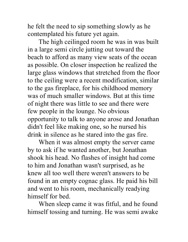he felt the need to sip something slowly as he contemplated his future yet again.

The high ceilinged room he was in was built in a large semi circle jutting out toward the beach to afford as many view seats of the ocean as possible. On closer inspection he realized the large glass windows that stretched from the floor to the ceiling were a recent modification, similar to the gas fireplace, for his childhood memory was of much smaller windows. But at this time of night there was little to see and there were few people in the lounge. No obvious opportunity to talk to anyone arose and Jonathan didn't feel like making one, so he nursed his drink in silence as he stared into the gas fire.

When it was almost empty the server came by to ask if he wanted another, but Jonathan shook his head. No flashes of insight had come to him and Jonathan wasn't surprised, as he knew all too well there weren't answers to be found in an empty cognac glass. He paid his bill and went to his room, mechanically readying himself for bed.

When sleep came it was fitful, and he found himself tossing and turning. He was semi awake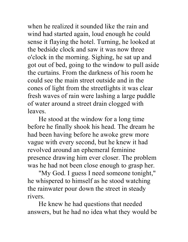when he realized it sounded like the rain and wind had started again, loud enough he could sense it flaying the hotel. Turning, he looked at the bedside clock and saw it was now three o'clock in the morning. Sighing, he sat up and got out of bed, going to the window to pull aside the curtains. From the darkness of his room he could see the main street outside and in the cones of light from the streetlights it was clear fresh waves of rain were lashing a large puddle of water around a street drain clogged with leaves.

He stood at the window for a long time before he finally shook his head. The dream he had been having before he awoke grew more vague with every second, but he knew it had revolved around an ephemeral feminine presence drawing him ever closer. The problem was he had not been close enough to grasp her.

"My God. I guess I need someone tonight," he whispered to himself as he stood watching the rainwater pour down the street in steady rivers.

He knew he had questions that needed answers, but he had no idea what they would be